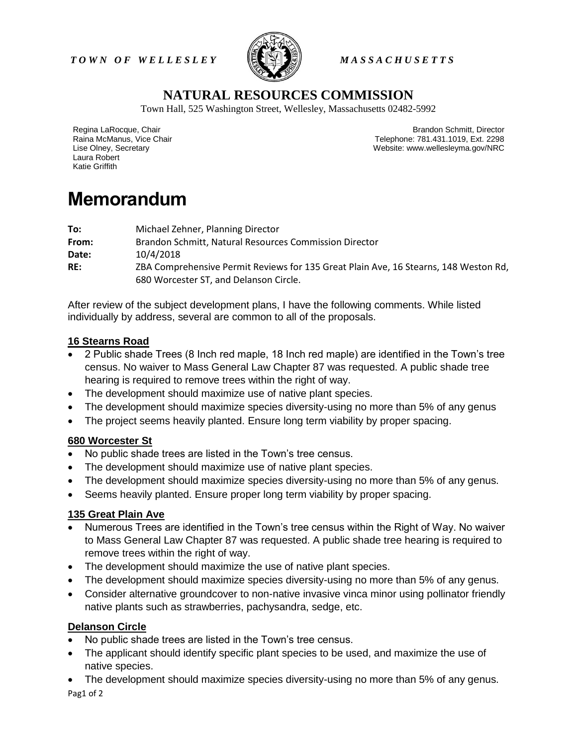*T O W N O F W E L L E S L E Y M A S S A C H U S E T T S*



# **NATURAL RESOURCES COMMISSION**

Town Hall, 525 Washington Street, Wellesley, Massachusetts 02482-5992

Regina LaRocque, Chair Raina McManus, Vice Chair Lise Olney, Secretary Laura Robert Katie Griffith

Brandon Schmitt, Director Telephone: 781.431.1019, Ext. 2298 Website: www.wellesleyma.gov/NRC

# **Memorandum**

| To:   | Michael Zehner, Planning Director                                                                                              |
|-------|--------------------------------------------------------------------------------------------------------------------------------|
| From: | Brandon Schmitt, Natural Resources Commission Director                                                                         |
| Date: | 10/4/2018                                                                                                                      |
| RE:   | ZBA Comprehensive Permit Reviews for 135 Great Plain Ave, 16 Stearns, 148 Weston Rd,<br>680 Worcester ST, and Delanson Circle. |

After review of the subject development plans, I have the following comments. While listed individually by address, several are common to all of the proposals.

#### **16 Stearns Road**

- 2 Public shade Trees (8 Inch red maple, 18 Inch red maple) are identified in the Town's tree census. No waiver to Mass General Law Chapter 87 was requested. A public shade tree hearing is required to remove trees within the right of way.
- The development should maximize use of native plant species.
- The development should maximize species diversity-using no more than 5% of any genus
- The project seems heavily planted. Ensure long term viability by proper spacing.

#### **680 Worcester St**

- No public shade trees are listed in the Town's tree census.
- The development should maximize use of native plant species.
- The development should maximize species diversity-using no more than 5% of any genus.
- Seems heavily planted. Ensure proper long term viability by proper spacing.

## **135 Great Plain Ave**

- Numerous Trees are identified in the Town's tree census within the Right of Way. No waiver to Mass General Law Chapter 87 was requested. A public shade tree hearing is required to remove trees within the right of way.
- The development should maximize the use of native plant species.
- The development should maximize species diversity-using no more than 5% of any genus.
- Consider alternative groundcover to non-native invasive vinca minor using pollinator friendly native plants such as strawberries, pachysandra, sedge, etc.

## **Delanson Circle**

- No public shade trees are listed in the Town's tree census.
- The applicant should identify specific plant species to be used, and maximize the use of native species.
- Pag1 of 2 The development should maximize species diversity-using no more than 5% of any genus.